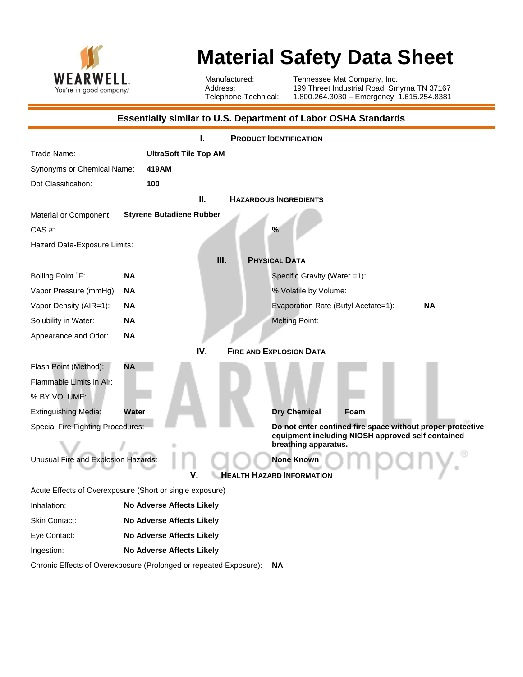

## **Material Safety Data Sheet**

Manufactured: Address: Telephone-Technical: Tennessee Mat Company, Inc. 199 Threet Industrial Road, Smyrna TN 37167 1.800.264.3030 – Emergency: 1.615.254.8381

| <b>Essentially similar to U.S. Department of Labor OSHA Standards</b>          |                                  |                                                            |  |  |
|--------------------------------------------------------------------------------|----------------------------------|------------------------------------------------------------|--|--|
| <b>PRODUCT IDENTIFICATION</b><br>I.                                            |                                  |                                                            |  |  |
| Trade Name:                                                                    | <b>UltraSoft Tile Top AM</b>     |                                                            |  |  |
| Synonyms or Chemical Name:                                                     | 419AM                            |                                                            |  |  |
| Dot Classification:                                                            | 100                              |                                                            |  |  |
| Ш.<br><b>HAZARDOUS INGREDIENTS</b>                                             |                                  |                                                            |  |  |
| Material or Component:                                                         | <b>Styrene Butadiene Rubber</b>  |                                                            |  |  |
| CAS #:                                                                         |                                  | $\%$                                                       |  |  |
| Hazard Data-Exposure Limits:                                                   |                                  |                                                            |  |  |
|                                                                                | Ш.                               | <b>PHYSICAL DATA</b>                                       |  |  |
| Boiling Point °F:                                                              | <b>NA</b>                        | Specific Gravity (Water =1):                               |  |  |
| Vapor Pressure (mmHg):                                                         | <b>NA</b>                        | % Volatile by Volume:                                      |  |  |
| Vapor Density (AIR=1):                                                         | ΝA                               | <b>NA</b><br>Evaporation Rate (Butyl Acetate=1):           |  |  |
| Solubility in Water:                                                           | <b>NA</b>                        | <b>Melting Point:</b>                                      |  |  |
| Appearance and Odor:                                                           | <b>NA</b>                        |                                                            |  |  |
|                                                                                | IV.                              | <b>FIRE AND EXPLOSION DATA</b>                             |  |  |
| Flash Point (Method):                                                          | <b>NA</b>                        |                                                            |  |  |
| Flammable Limits in Air:                                                       |                                  |                                                            |  |  |
| % BY VOLUME:                                                                   |                                  |                                                            |  |  |
| <b>Extinguishing Media:</b>                                                    | Water                            | <b>Dry Chemical</b><br>Foam                                |  |  |
| Special Fire Fighting Procedures:                                              |                                  | Do not enter confined fire space without proper protective |  |  |
| equipment including NIOSH approved self contained<br>breathing apparatus.      |                                  |                                                            |  |  |
| Unusual Fire and Explosion Hazards:<br><b>None Known</b>                       |                                  |                                                            |  |  |
| <b>HEALTH HAZARD INFORMATION</b><br>v                                          |                                  |                                                            |  |  |
| Acute Effects of Overexposure (Short or single exposure)                       |                                  |                                                            |  |  |
| Inhalation:                                                                    | No Adverse Affects Likely        |                                                            |  |  |
| Skin Contact:                                                                  | <b>No Adverse Affects Likely</b> |                                                            |  |  |
| Eye Contact:                                                                   | No Adverse Affects Likely        |                                                            |  |  |
| Ingestion:                                                                     | No Adverse Affects Likely        |                                                            |  |  |
| Chronic Effects of Overexposure (Prolonged or repeated Exposure):<br><b>NA</b> |                                  |                                                            |  |  |
|                                                                                |                                  |                                                            |  |  |
|                                                                                |                                  |                                                            |  |  |